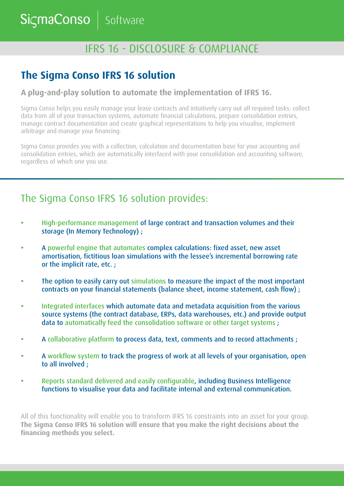SicmaConso Software

# IFRS 16 - DISCLOSURE & COMPLIANCE

## **The Sigma Conso IFRS 16 solution**

#### **A plug-and-play solution to automate the implementation of IFRS 16.**

Sigma Conso helps you easily manage your lease contracts and intuitively carry out all required tasks: collect data from all of your transaction systems, automate financial calculations, prepare consolidation entries, manage contract documentation and create graphical representations to help you visualise, implement arbitrage and manage your financing.

Sigma Conso provides you with a collection, calculation and documentation base for your accounting and consolidation entries, which are automatically interfaced with your consolidation and accounting software, regardless of which one you use.

### The Sigma Conso IFRS 16 solution provides:

- **•** High-performance management of large contract and transaction volumes and their storage (In Memory Technology) ;
- **•** A powerful engine that automates complex calculations: fixed asset, new asset amortisation, fictitious loan simulations with the lessee's incremental borrowing rate or the implicit rate, etc. ;
- **•** The option to easily carry out simulations to measure the impact of the most important contracts on your financial statements (balance sheet, income statement, cash flow) ;
- **•** Integrated interfaces which automate data and metadata acquisition from the various source systems (the contract database, ERPs, data warehouses, etc.) and provide output data to automatically feed the consolidation software or other target systems ;
- **•** A collaborative platform to process data, text, comments and to record attachments ;
- A workflow system to track the progress of work at all levels of your organisation, open to all involved ;
- **•** Reports standard delivered and easily configurable, including Business Intelligence functions to visualise your data and facilitate internal and external communication.

All of this functionality will enable you to transform IFRS 16 constraints into an asset for your group. **The Sigma Conso IFRS 16 solution will ensure that you make the right decisions about the financing methods you select.**